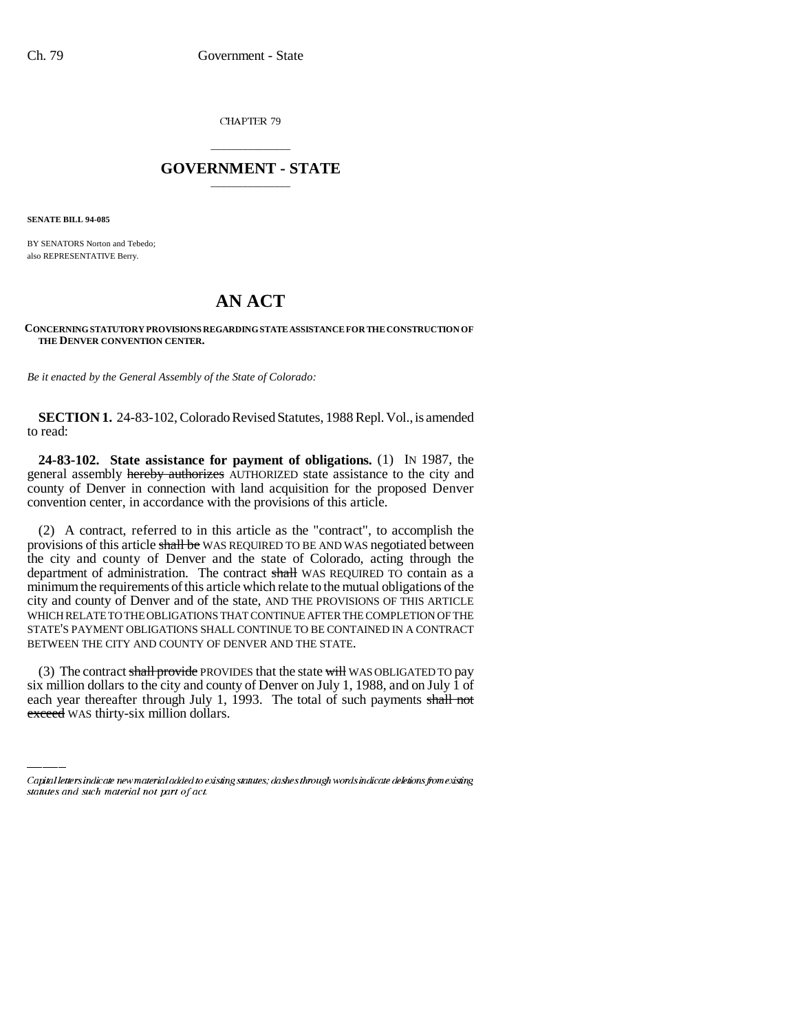CHAPTER 79

## \_\_\_\_\_\_\_\_\_\_\_\_\_\_\_ **GOVERNMENT - STATE** \_\_\_\_\_\_\_\_\_\_\_\_\_\_\_

**SENATE BILL 94-085**

BY SENATORS Norton and Tebedo; also REPRESENTATIVE Berry.

## **AN ACT**

## **CONCERNING STATUTORY PROVISIONS REGARDING STATE ASSISTANCE FOR THE CONSTRUCTION OF THE DENVER CONVENTION CENTER.**

*Be it enacted by the General Assembly of the State of Colorado:*

**SECTION 1.** 24-83-102, Colorado Revised Statutes, 1988 Repl. Vol., is amended to read:

**24-83-102. State assistance for payment of obligations.** (1) IN 1987, the general assembly hereby authorizes AUTHORIZED state assistance to the city and county of Denver in connection with land acquisition for the proposed Denver convention center, in accordance with the provisions of this article.

(2) A contract, referred to in this article as the "contract", to accomplish the provisions of this article shall be WAS REQUIRED TO BE AND WAS negotiated between the city and county of Denver and the state of Colorado, acting through the department of administration. The contract shall WAS REQUIRED TO contain as a minimum the requirements of this article which relate to the mutual obligations of the city and county of Denver and of the state, AND THE PROVISIONS OF THIS ARTICLE WHICH RELATE TO THE OBLIGATIONS THAT CONTINUE AFTER THE COMPLETION OF THE STATE'S PAYMENT OBLIGATIONS SHALL CONTINUE TO BE CONTAINED IN A CONTRACT BETWEEN THE CITY AND COUNTY OF DENVER AND THE STATE.

(3) The contract shall provide PROVIDES that the state will WAS OBLIGATED TO pay six million dollars to the city and county of Denver on July 1, 1988, and on July 1 of each year thereafter through July 1, 1993. The total of such payments shall not exceed WAS thirty-six million dollars.

Capital letters indicate new material added to existing statutes; dashes through words indicate deletions from existing statutes and such material not part of act.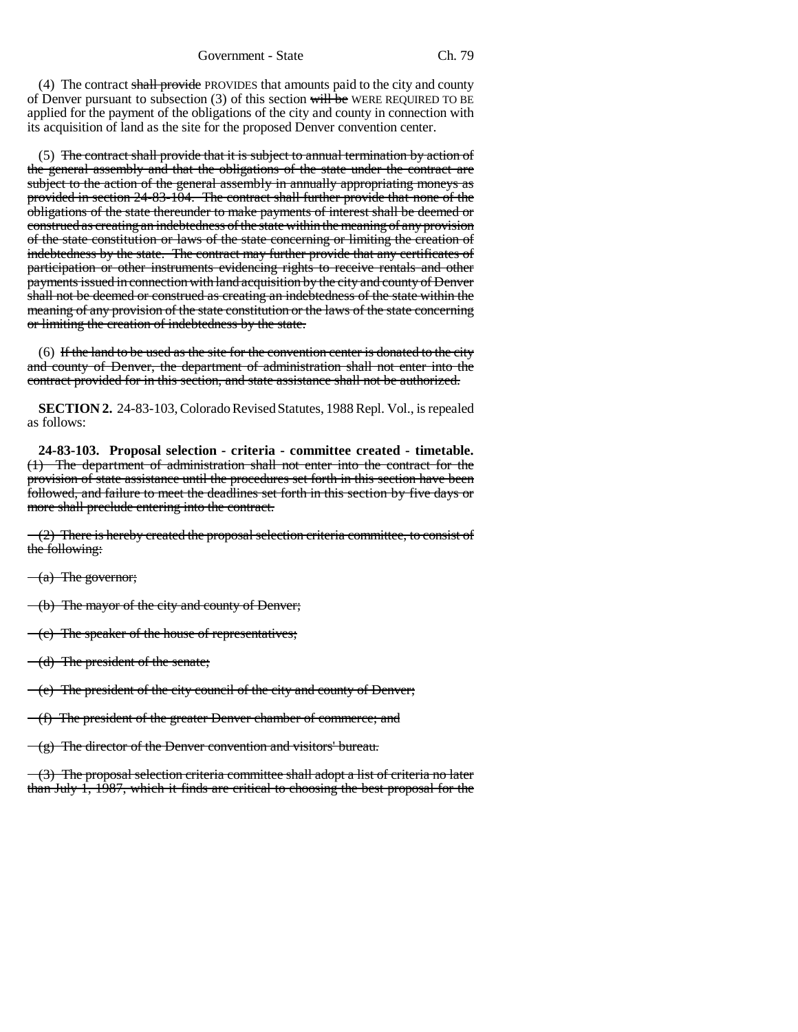(4) The contract shall provide PROVIDES that amounts paid to the city and county of Denver pursuant to subsection  $(3)$  of this section will be WERE REQUIRED TO BE applied for the payment of the obligations of the city and county in connection with its acquisition of land as the site for the proposed Denver convention center.

(5) The contract shall provide that it is subject to annual termination by action of the general assembly and that the obligations of the state under the contract are subject to the action of the general assembly in annually appropriating moneys as provided in section 24-83-104. The contract shall further provide that none of the obligations of the state thereunder to make payments of interest shall be deemed or construed as creating an indebtedness of the state within the meaning of any provision of the state constitution or laws of the state concerning or limiting the creation of indebtedness by the state. The contract may further provide that any certificates of participation or other instruments evidencing rights to receive rentals and other payments issued in connection with land acquisition by the city and county of Denver shall not be deemed or construed as creating an indebtedness of the state within the meaning of any provision of the state constitution or the laws of the state concerning or limiting the creation of indebtedness by the state.

 $(6)$  If the land to be used as the site for the convention center is donated to the city and county of Denver, the department of administration shall not enter into the contract provided for in this section, and state assistance shall not be authorized.

**SECTION 2.** 24-83-103, Colorado Revised Statutes, 1988 Repl. Vol., is repealed as follows:

**24-83-103. Proposal selection - criteria - committee created - timetable.** The department of administration shall not enter into the contract for the provision of state assistance until the procedures set forth in this section have been followed, and failure to meet the deadlines set forth in this section by five days or more shall preclude entering into the contract.

(2) There is hereby created the proposal selection criteria committee, to consist of the following:

 $(a)$  The governor;

(b) The mayor of the city and county of Denver;

(c) The speaker of the house of representatives;

(d) The president of the senate;

 $(-e)$  The president of the city council of the city and county of Denver;

(f) The president of the greater Denver chamber of commerce; and

 $-(g)$  The director of the Denver convention and visitors' bureau.

 $-(3)$  The proposal selection criteria committee shall adopt a list of criteria no later than July 1, 1987, which it finds are critical to choosing the best proposal for the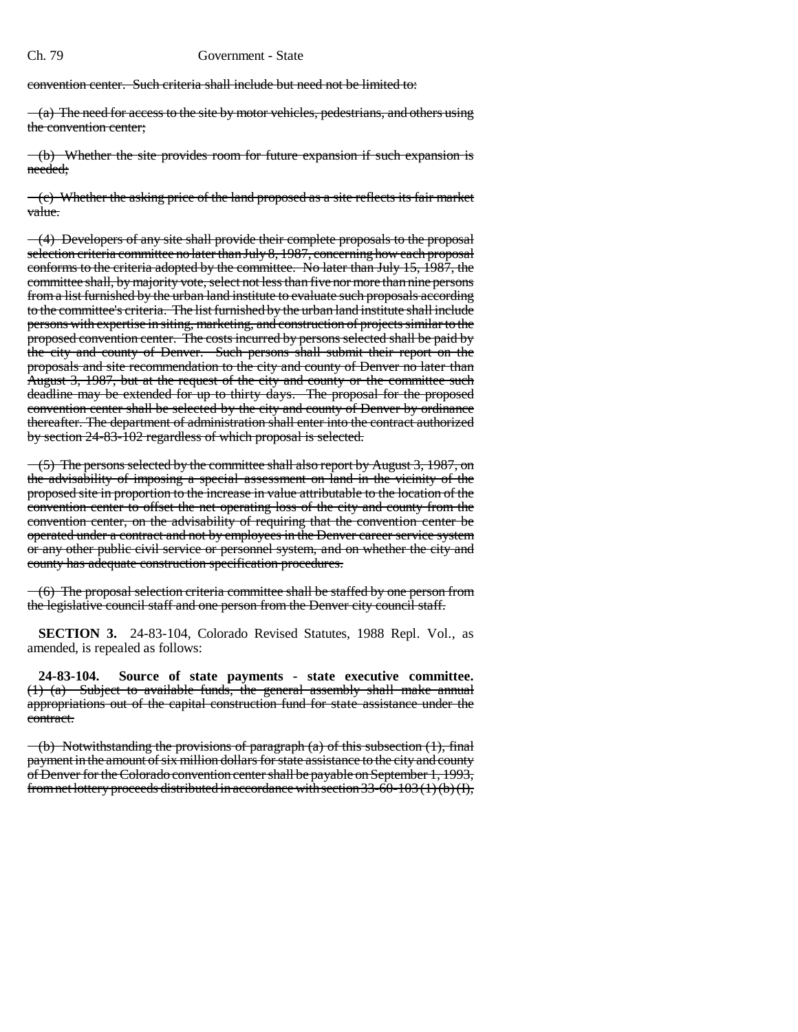convention center. Such criteria shall include but need not be limited to:

 $(a)$  The need for access to the site by motor vehicles, pedestrians, and others using the convention center;

(b) Whether the site provides room for future expansion if such expansion is needed;

 $(-e)$  Whether the asking price of the land proposed as a site reflects its fair market value.

 $\left(4\right)$  Developers of any site shall provide their complete proposals to the proposal selection criteria committee no later than July 8, 1987, concerning how each proposal conforms to the criteria adopted by the committee. No later than July 15, 1987, the committee shall, by majority vote, select not less than five nor more than nine persons from a list furnished by the urban land institute to evaluate such proposals according to the committee's criteria. The list furnished by the urban land institute shall include persons with expertise in siting, marketing, and construction of projects similar to the proposed convention center. The costs incurred by persons selected shall be paid by the city and county of Denver. Such persons shall submit their report on the proposals and site recommendation to the city and county of Denver no later than August 3, 1987, but at the request of the city and county or the committee such deadline may be extended for up to thirty days. The proposal for the proposed convention center shall be selected by the city and county of Denver by ordinance thereafter. The department of administration shall enter into the contract authorized by section 24-83-102 regardless of which proposal is selected.

 $(5)$  The persons selected by the committee shall also report by August 3, 1987, on the advisability of imposing a special assessment on land in the vicinity of the proposed site in proportion to the increase in value attributable to the location of the convention center to offset the net operating loss of the city and county from the convention center, on the advisability of requiring that the convention center be operated under a contract and not by employees in the Denver career service system or any other public civil service or personnel system, and on whether the city and county has adequate construction specification procedures.

(6) The proposal selection criteria committee shall be staffed by one person from the legislative council staff and one person from the Denver city council staff.

**SECTION 3.** 24-83-104, Colorado Revised Statutes, 1988 Repl. Vol., as amended, is repealed as follows:

**24-83-104. Source of state payments - state executive committee.** (1) (a) Subject to available funds, the general assembly shall make annual appropriations out of the capital construction fund for state assistance under the contract.

 $($ b) Notwithstanding the provisions of paragraph (a) of this subsection (1), final payment in the amount of six million dollars for state assistance to the city and county of Denver for the Colorado convention center shall be payable on September 1, 1993, from net lottery proceeds distributed in accordance with section 33-60-103 (1) (b) (I),